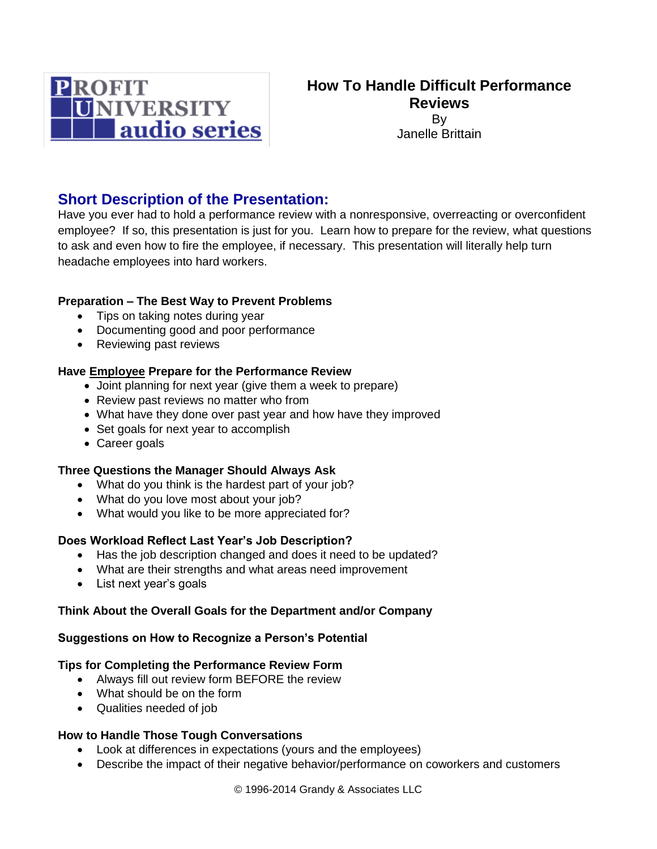

# **Short Description of the Presentation:**

Have you ever had to hold a performance review with a nonresponsive, overreacting or overconfident employee? If so, this presentation is just for you. Learn how to prepare for the review, what questions to ask and even how to fire the employee, if necessary. This presentation will literally help turn headache employees into hard workers.

## **Preparation – The Best Way to Prevent Problems**

- Tips on taking notes during year
- Documenting good and poor performance
- Reviewing past reviews

### **Have Employee Prepare for the Performance Review**

- Joint planning for next year (give them a week to prepare)
- Review past reviews no matter who from
- What have they done over past year and how have they improved
- Set goals for next year to accomplish
- Career goals

## **Three Questions the Manager Should Always Ask**

- What do you think is the hardest part of your job?
- What do you love most about your job?
- What would you like to be more appreciated for?

## **Does Workload Reflect Last Year's Job Description?**

- Has the job description changed and does it need to be updated?
- What are their strengths and what areas need improvement
- List next year's goals

#### **Think About the Overall Goals for the Department and/or Company**

#### **Suggestions on How to Recognize a Person's Potential**

#### **Tips for Completing the Performance Review Form**

- Always fill out review form BEFORE the review
- What should be on the form
- Qualities needed of job

## **How to Handle Those Tough Conversations**

- Look at differences in expectations (yours and the employees)
- Describe the impact of their negative behavior/performance on coworkers and customers